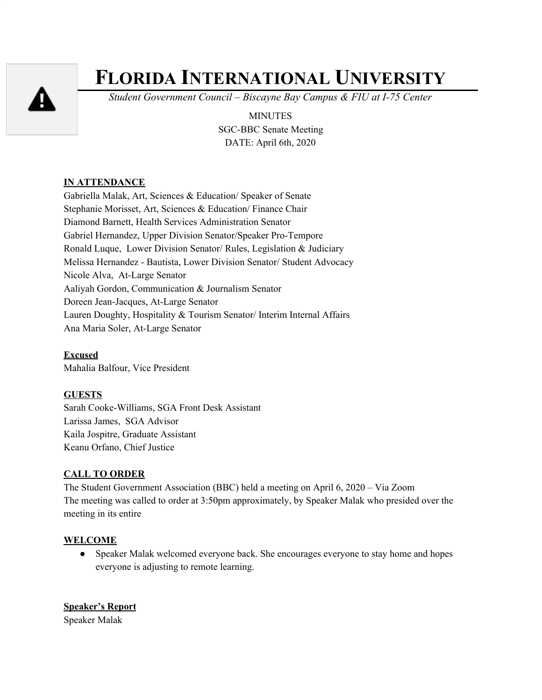

# **FLORIDA INTERNATIONAL UNIVERSITY**

*Student Government Council – Biscayne Bay Campus & FIU at I-75 Center*

MINUTES SGC-BBC Senate Meeting DATE: April 6th, 2020

# **IN ATTENDANCE**

Gabriella Malak, Art, Sciences & Education/ Speaker of Senate Stephanie Morisset, Art, Sciences & Education/ Finance Chair Diamond Barnett, Health Services Administration Senator Gabriel Hernandez, Upper Division Senator/Speaker Pro-Tempore Ronald Luque, Lower Division Senator/ Rules, Legislation & Judiciary Melissa Hernandez - Bautista, Lower Division Senator/ Student Advocacy Nicole Alva, At-Large Senator Aaliyah Gordon, Communication & Journalism Senator Doreen Jean-Jacques, At-Large Senator Lauren Doughty, Hospitality & Tourism Senator/ Interim Internal Affairs Ana Maria Soler, At-Large Senator

**Excused** Mahalia Balfour, Vice President

# **GUESTS**

Sarah Cooke-Williams, SGA Front Desk Assistant Larissa James, SGA Advisor Kaila Jospitre, Graduate Assistant Keanu Orfano, Chief Justice

# **CALL TO ORDER**

The Student Government Association (BBC) held a meeting on April 6, 2020 – Via Zoom The meeting was called to order at 3:50pm approximately, by Speaker Malak who presided over the meeting in its entire

# **WELCOME**

● Speaker Malak welcomed everyone back. She encourages everyone to stay home and hopes everyone is adjusting to remote learning.

**Speaker's Report** Speaker Malak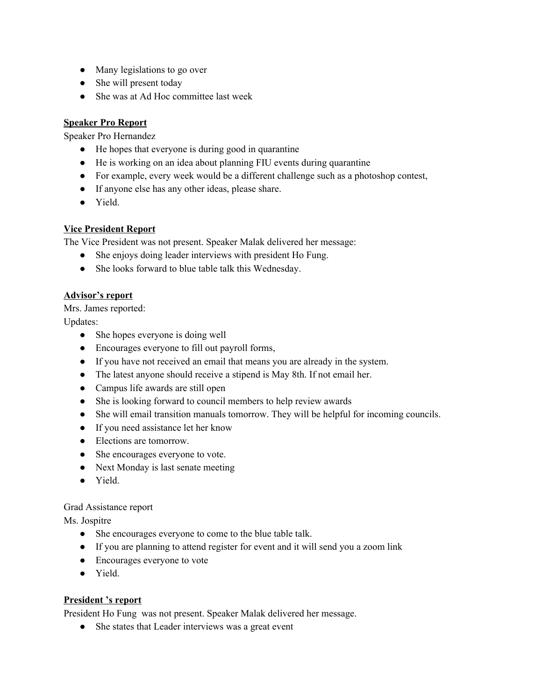- Many legislations to go over
- She will present today
- She was at Ad Hoc committee last week

# **Speaker Pro Report**

Speaker Pro Hernandez

- He hopes that everyone is during good in quarantine
- He is working on an idea about planning FIU events during quarantine
- For example, every week would be a different challenge such as a photoshop contest,
- If anyone else has any other ideas, please share.
- Yield.

# **Vice President Report**

The Vice President was not present. Speaker Malak delivered her message:

- She enjoys doing leader interviews with president Ho Fung.
- She looks forward to blue table talk this Wednesday.

# **Advisor's report**

Mrs. James reported:

Updates:

- She hopes everyone is doing well
- Encourages everyone to fill out payroll forms,
- If you have not received an email that means you are already in the system.
- The latest anyone should receive a stipend is May 8th. If not email her.
- Campus life awards are still open
- She is looking forward to council members to help review awards
- She will email transition manuals tomorrow. They will be helpful for incoming councils.
- If you need assistance let her know
- Elections are tomorrow.
- She encourages everyone to vote.
- Next Monday is last senate meeting
- Yield.

# Grad Assistance report

Ms. Jospitre

- She encourages everyone to come to the blue table talk.
- If you are planning to attend register for event and it will send you a zoom link
- Encourages everyone to vote
- Yield.

# **President 's report**

President Ho Fung was not present. Speaker Malak delivered her message.

• She states that Leader interviews was a great event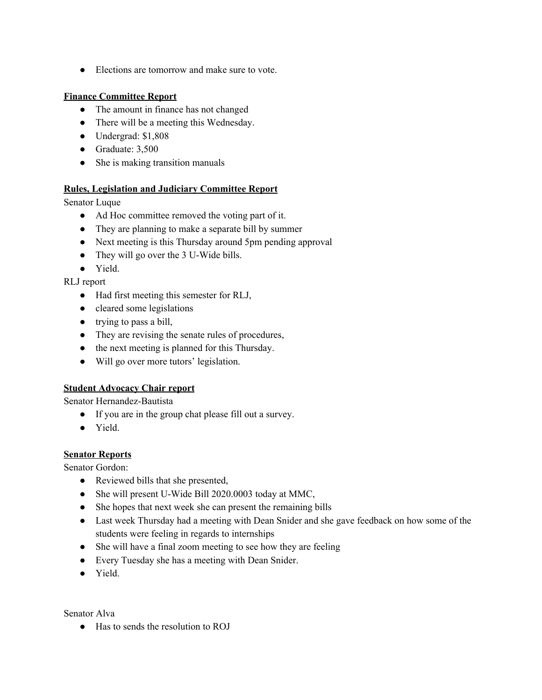● Elections are tomorrow and make sure to vote.

#### **Finance Committee Report**

- The amount in finance has not changed
- There will be a meeting this Wednesday.
- Undergrad: \$1,808
- Graduate: 3,500
- She is making transition manuals

#### **Rules, Legislation and Judiciary Committee Report**

Senator Luque

- Ad Hoc committee removed the voting part of it.
- They are planning to make a separate bill by summer
- Next meeting is this Thursday around 5pm pending approval
- They will go over the 3 U-Wide bills.
- Yield.

RLJ report

- Had first meeting this semester for RLJ,
- cleared some legislations
- trying to pass a bill,
- They are revising the senate rules of procedures,
- the next meeting is planned for this Thursday.
- Will go over more tutors' legislation.

# **Student Advocacy Chair report**

Senator Hernandez-Bautista

- If you are in the group chat please fill out a survey.
- Yield.

# **Senator Reports**

Senator Gordon:

- Reviewed bills that she presented,
- She will present U-Wide Bill 2020.0003 today at MMC,
- She hopes that next week she can present the remaining bills
- Last week Thursday had a meeting with Dean Snider and she gave feedback on how some of the students were feeling in regards to internships
- She will have a final zoom meeting to see how they are feeling
- Every Tuesday she has a meeting with Dean Snider.
- Yield.

Senator Alva

● Has to sends the resolution to ROJ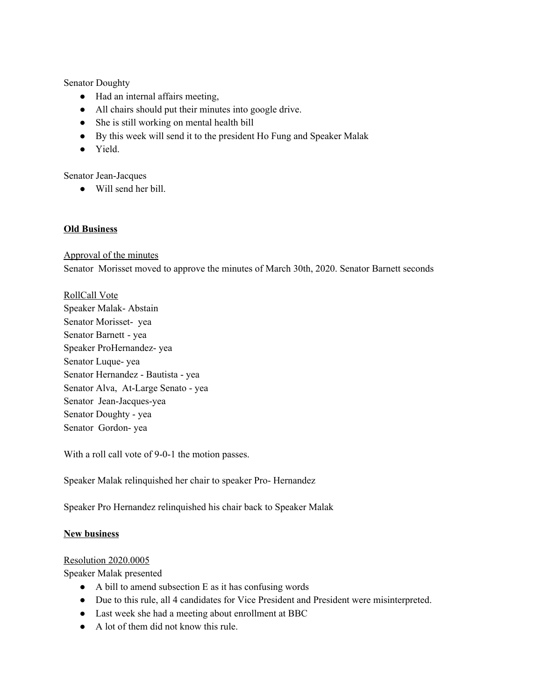Senator Doughty

- Had an internal affairs meeting,
- All chairs should put their minutes into google drive.
- She is still working on mental health bill
- By this week will send it to the president Ho Fung and Speaker Malak
- Yield.

Senator Jean-Jacques

● Will send her bill.

#### **Old Business**

Approval of the minutes

Senator Morisset moved to approve the minutes of March 30th, 2020. Senator Barnett seconds

#### RollCall Vote

Speaker Malak- Abstain Senator Morisset- yea Senator Barnett - yea Speaker ProHernandez- yea Senator Luque- yea Senator Hernandez - Bautista - yea Senator Alva, At-Large Senato - yea Senator Jean-Jacques-yea Senator Doughty - yea Senator Gordon- yea

With a roll call vote of 9-0-1 the motion passes.

Speaker Malak relinquished her chair to speaker Pro- Hernandez

Speaker Pro Hernandez relinquished his chair back to Speaker Malak

#### **New business**

#### Resolution 2020.0005

Speaker Malak presented

- A bill to amend subsection E as it has confusing words
- Due to this rule, all 4 candidates for Vice President and President were misinterpreted.
- Last week she had a meeting about enrollment at BBC
- A lot of them did not know this rule.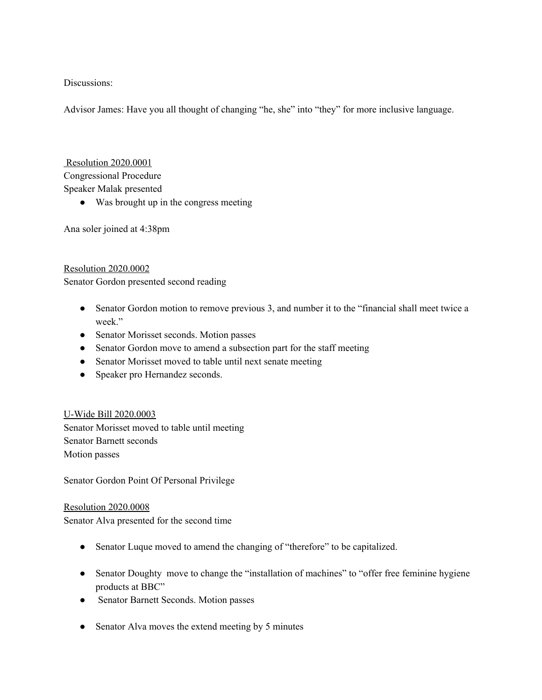Discussions:

Advisor James: Have you all thought of changing "he, she" into "they" for more inclusive language.

Resolution 2020.0001 Congressional Procedure Speaker Malak presented

● Was brought up in the congress meeting

Ana soler joined at 4:38pm

#### Resolution 2020.0002

Senator Gordon presented second reading

- Senator Gordon motion to remove previous 3, and number it to the "financial shall meet twice a week."
- Senator Morisset seconds. Motion passes
- Senator Gordon move to amend a subsection part for the staff meeting
- Senator Morisset moved to table until next senate meeting
- Speaker pro Hernandez seconds.

U-Wide Bill 2020.0003 Senator Morisset moved to table until meeting Senator Barnett seconds Motion passes

Senator Gordon Point Of Personal Privilege

Resolution 2020.0008 Senator Alva presented for the second time

- Senator Luque moved to amend the changing of "therefore" to be capitalized.
- Senator Doughty move to change the "installation of machines" to "offer free feminine hygiene products at BBC"
- Senator Barnett Seconds. Motion passes
- Senator Alva moves the extend meeting by 5 minutes